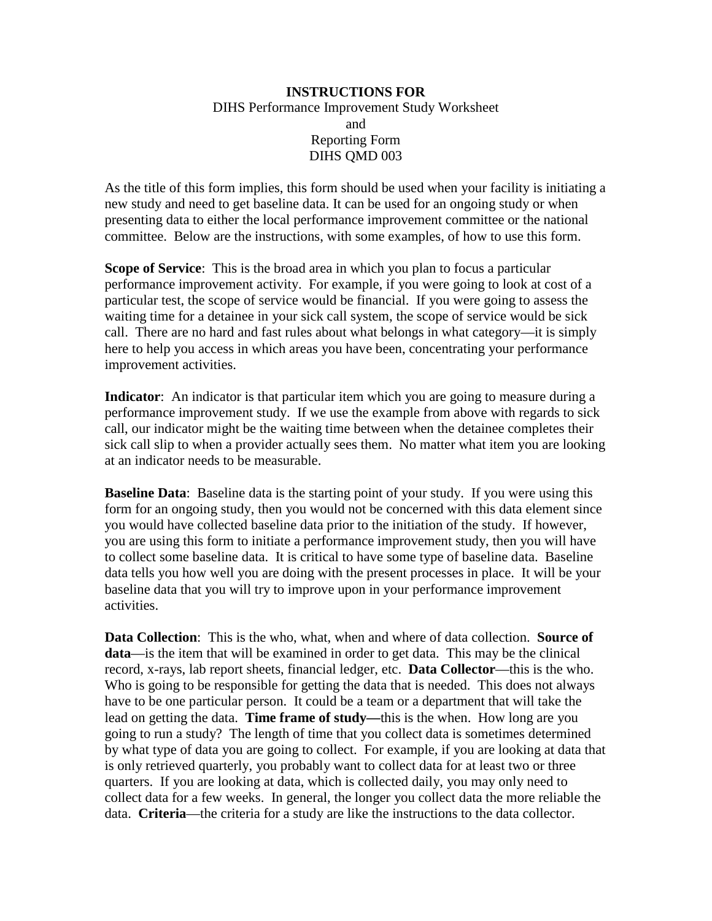## **INSTRUCTIONS FOR**  DIHS Performance Improvement Study Worksheet and Reporting Form DIHS QMD 003

As the title of this form implies, this form should be used when your facility is initiating a new study and need to get baseline data. It can be used for an ongoing study or when presenting data to either the local performance improvement committee or the national committee. Below are the instructions, with some examples, of how to use this form.

**Scope of Service**: This is the broad area in which you plan to focus a particular performance improvement activity. For example, if you were going to look at cost of a particular test, the scope of service would be financial. If you were going to assess the waiting time for a detainee in your sick call system, the scope of service would be sick call. There are no hard and fast rules about what belongs in what category—it is simply here to help you access in which areas you have been, concentrating your performance improvement activities.

**Indicator**: An indicator is that particular item which you are going to measure during a performance improvement study. If we use the example from above with regards to sick call, our indicator might be the waiting time between when the detainee completes their sick call slip to when a provider actually sees them. No matter what item you are looking at an indicator needs to be measurable.

**Baseline Data**: Baseline data is the starting point of your study. If you were using this form for an ongoing study, then you would not be concerned with this data element since you would have collected baseline data prior to the initiation of the study. If however, you are using this form to initiate a performance improvement study, then you will have to collect some baseline data. It is critical to have some type of baseline data. Baseline data tells you how well you are doing with the present processes in place. It will be your baseline data that you will try to improve upon in your performance improvement activities.

**Data Collection**: This is the who, what, when and where of data collection. **Source of data**—is the item that will be examined in order to get data. This may be the clinical record, x-rays, lab report sheets, financial ledger, etc. **Data Collector**—this is the who. Who is going to be responsible for getting the data that is needed. This does not always have to be one particular person. It could be a team or a department that will take the lead on getting the data. **Time frame of study—**this is the when. How long are you going to run a study? The length of time that you collect data is sometimes determined by what type of data you are going to collect. For example, if you are looking at data that is only retrieved quarterly, you probably want to collect data for at least two or three quarters. If you are looking at data, which is collected daily, you may only need to collect data for a few weeks. In general, the longer you collect data the more reliable the data. **Criteria**—the criteria for a study are like the instructions to the data collector.